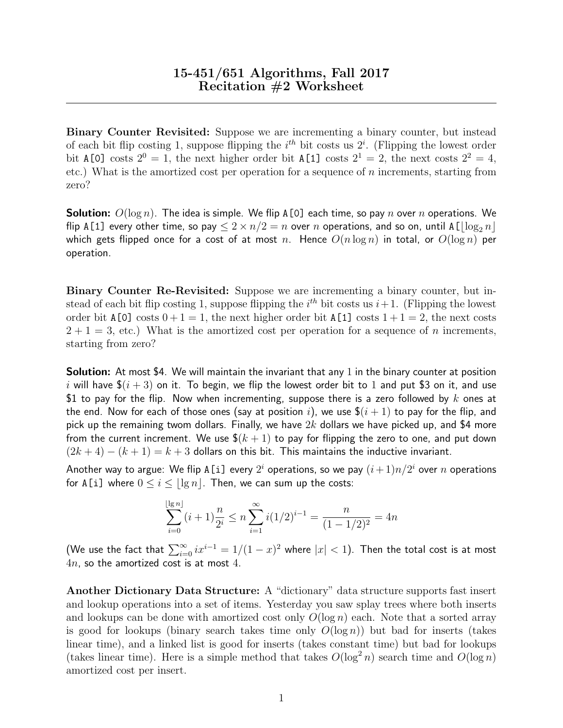Binary Counter Revisited: Suppose we are incrementing a binary counter, but instead of each bit flip costing 1, suppose flipping the  $i^{th}$  bit costs us  $2^i$ . (Flipping the lowest order bit A[0] costs  $2^0 = 1$ , the next higher order bit A[1] costs  $2^1 = 2$ , the next costs  $2^2 = 4$ , etc.) What is the amortized cost per operation for a sequence of  $n$  increments, starting from zero?

**Solution:**  $O(\log n)$ . The idea is simple. We flip A[0] each time, so pay n over n operations. We flip A[1] every other time, so pay  $\leq 2 \times n/2 = n$  over n operations, and so on, until A[ $\lfloor \log_2 n \rfloor$ which gets flipped once for a cost of at most n. Hence  $O(n \log n)$  in total, or  $O(\log n)$  per operation.

Binary Counter Re-Revisited: Suppose we are incrementing a binary counter, but instead of each bit flip costing 1, suppose flipping the  $i<sup>th</sup>$  bit costs us  $i+1$ . (Flipping the lowest order bit  $A[0]$  costs  $0+1=1$ , the next higher order bit  $A[1]$  costs  $1+1=2$ , the next costs  $2 + 1 = 3$ , etc.) What is the amortized cost per operation for a sequence of n increments, starting from zero?

**Solution:** At most \$4. We will maintain the invariant that any 1 in the binary counter at position i will have  $\frac{1}{2}(i+3)$  on it. To begin, we flip the lowest order bit to 1 and put \$3 on it, and use \$1 to pay for the flip. Now when incrementing, suppose there is a zero followed by k ones at the end. Now for each of those ones (say at position i), we use  $\frac{\mathfrak{g}(i+1)}{i+1}$  to pay for the flip, and pick up the remaining twom dollars. Finally, we have  $2k$  dollars we have picked up, and \$4 more from the current increment. We use  $\frac{1}{2}(k+1)$  to pay for flipping the zero to one, and put down  $(2k+4) - (k+1) = k+3$  dollars on this bit. This maintains the inductive invariant.

Another way to argue: We flip <code>A[i]</code> every  $2^i$  operations, so we pay  $(i+1)n/2^i$  over  $n$  operations for A[i] where  $0 \le i \le |\lg n|$ . Then, we can sum up the costs:

$$
\sum_{i=0}^{\lfloor \lg n \rfloor} (i+1) \frac{n}{2^i} \le n \sum_{i=1}^{\infty} i (1/2)^{i-1} = \frac{n}{(1-1/2)^2} = 4n
$$

(We use the fact that  $\sum_{i=0}^{\infty} ix^{i-1} = 1/(1-x)^2$  where  $|x| < 1$ ). Then the total cost is at most  $4n$ , so the amortized cost is at most  $4$ .

Another Dictionary Data Structure: A "dictionary" data structure supports fast insert and lookup operations into a set of items. Yesterday you saw splay trees where both inserts and lookups can be done with amortized cost only  $O(\log n)$  each. Note that a sorted array is good for lookups (binary search takes time only  $O(\log n)$ ) but bad for inserts (takes linear time), and a linked list is good for inserts (takes constant time) but bad for lookups (takes linear time). Here is a simple method that takes  $O(\log^2 n)$  search time and  $O(\log n)$ amortized cost per insert.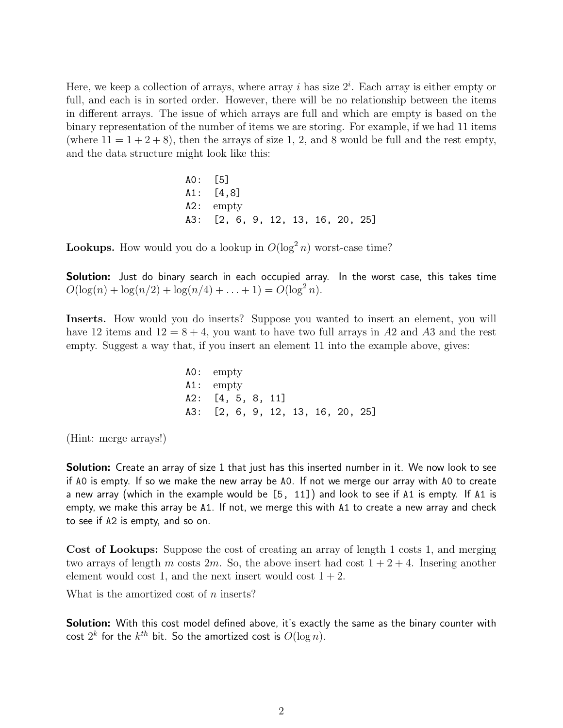Here, we keep a collection of arrays, where array i has size  $2^i$ . Each array is either empty or full, and each is in sorted order. However, there will be no relationship between the items in different arrays. The issue of which arrays are full and which are empty is based on the binary representation of the number of items we are storing. For example, if we had 11 items (where  $11 = 1 + 2 + 8$ ), then the arrays of size 1, 2, and 8 would be full and the rest empty, and the data structure might look like this:

> A0: [5] A1: [4,8] A2: empty A3: [2, 6, 9, 12, 13, 16, 20, 25]

**Lookups.** How would you do a lookup in  $O(\log^2 n)$  worst-case time?

**Solution:** Just do binary search in each occupied array. In the worst case, this takes time  $O(\log(n) + \log(n/2) + \log(n/4) + \ldots + 1) = O(\log^2 n).$ 

Inserts. How would you do inserts? Suppose you wanted to insert an element, you will have 12 items and  $12 = 8 + 4$ , you want to have two full arrays in A2 and A3 and the rest empty. Suggest a way that, if you insert an element 11 into the example above, gives:

> A0: empty A1: empty A2: [4, 5, 8, 11] A3: [2, 6, 9, 12, 13, 16, 20, 25]

(Hint: merge arrays!)

**Solution:** Create an array of size 1 that just has this inserted number in it. We now look to see if A0 is empty. If so we make the new array be A0. If not we merge our array with A0 to create a new array (which in the example would be [5, 11]) and look to see if A1 is empty. If A1 is empty, we make this array be A1. If not, we merge this with A1 to create a new array and check to see if A2 is empty, and so on.

Cost of Lookups: Suppose the cost of creating an array of length 1 costs 1, and merging two arrays of length m costs  $2m$ . So, the above insert had cost  $1 + 2 + 4$ . Insering another element would cost 1, and the next insert would cost  $1 + 2$ .

What is the amortized cost of *n* inserts?

Solution: With this cost model defined above, it's exactly the same as the binary counter with cost  $2^k$  for the  $k^{th}$  bit. So the amortized cost is  $O(\log n)$ .